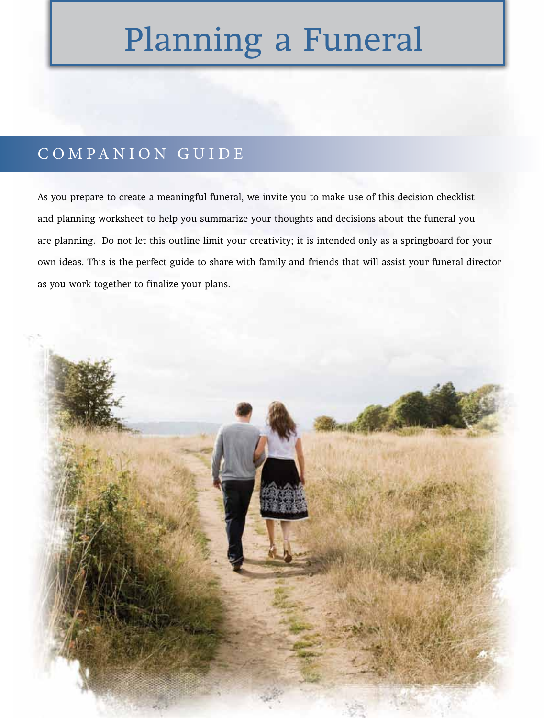## Planning a Funeral

## COMPANION GUIDE

As you prepare to create a meaningful funeral, we invite you to make use of this decision checklist and planning worksheet to help you summarize your thoughts and decisions about the funeral you are planning. Do not let this outline limit your creativity; it is intended only as a springboard for your own ideas. This is the perfect guide to share with family and friends that will assist your funeral director as you work together to finalize your plans.

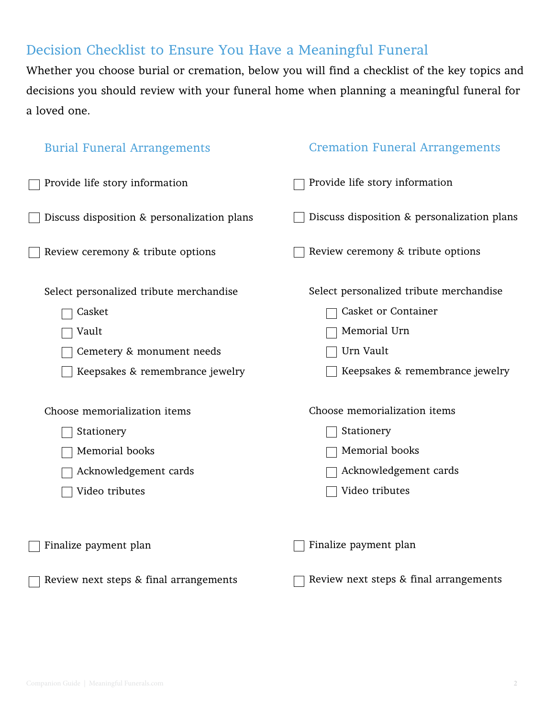## Decision Checklist to Ensure You Have a Meaningful Funeral

Whether you choose burial or cremation, below you will find a checklist of the key topics and decisions you should review with your funeral home when planning a meaningful funeral for a loved one.

| <b>Burial Funeral Arrangements</b>                                                                                         | <b>Cremation Funeral Arrangements</b>                                                                                          |
|----------------------------------------------------------------------------------------------------------------------------|--------------------------------------------------------------------------------------------------------------------------------|
| Provide life story information                                                                                             | Provide life story information                                                                                                 |
| Discuss disposition & personalization plans                                                                                | Discuss disposition & personalization plans                                                                                    |
| Review ceremony & tribute options                                                                                          | Review ceremony & tribute options                                                                                              |
| Select personalized tribute merchandise<br>Casket<br>Vault<br>Cemetery & monument needs<br>Keepsakes & remembrance jewelry | Select personalized tribute merchandise<br>Casket or Container<br>Memorial Urn<br>Urn Vault<br>Keepsakes & remembrance jewelry |
| Choose memorialization items<br>Stationery<br>Memorial books<br>Acknowledgement cards<br>Video tributes                    | Choose memorialization items<br>Stationery<br>Memorial books<br>Acknowledgement cards<br>Video tributes                        |
| Finalize payment plan                                                                                                      | Finalize payment plan                                                                                                          |
| Review next steps & final arrangements                                                                                     | Review next steps & final arrangements                                                                                         |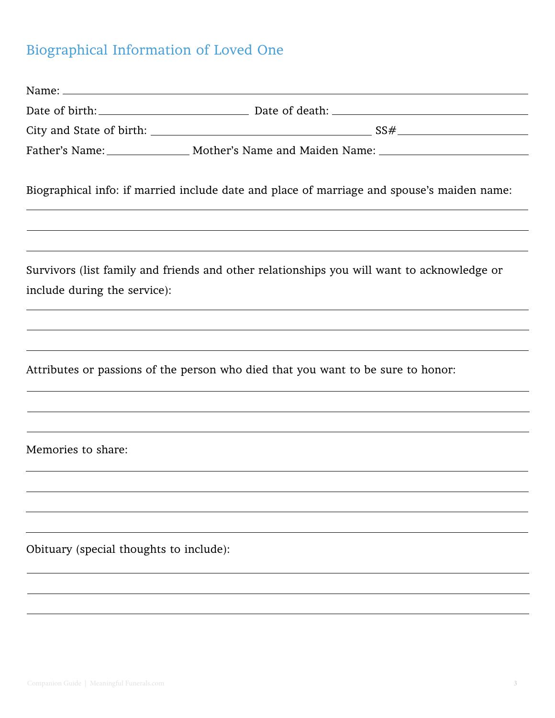## Biographical Information of Loved One

|                                         | Date of birth: Date of death: 2008 Date of death:                                                                                                                                                                    |
|-----------------------------------------|----------------------------------------------------------------------------------------------------------------------------------------------------------------------------------------------------------------------|
|                                         |                                                                                                                                                                                                                      |
|                                         | Father's Name: _________________ Mother's Name and Maiden Name: _________________                                                                                                                                    |
|                                         | Biographical info: if married include date and place of marriage and spouse's maiden name:                                                                                                                           |
|                                         | ,我们也不能会有什么。""我们的人,我们也不能会有什么?""我们的人,我们也不能会有什么?""我们的人,我们也不能会有什么?""我们的人,我们也不能会有什么?""                                                                                                                                    |
| include during the service):            | <u> 1989 - Andrea Santana, amerikana amerikana amerikana amerikana amerikana amerikana amerikana amerikana amerika</u><br>Survivors (list family and friends and other relationships you will want to acknowledge or |
|                                         | ,我们也不会有什么。""我们的人,我们也不会有什么?""我们的人,我们也不会有什么?""我们的人,我们也不会有什么?""我们的人,我们也不会有什么?""我们的人                                                                                                                                     |
|                                         | ,我们也不会有什么。""我们的人,我们也不会有什么?""我们的人,我们也不会有什么?""我们的人,我们也不会有什么?""我们的人,我们也不会有什么?""我们的人                                                                                                                                     |
|                                         | Attributes or passions of the person who died that you want to be sure to honor:                                                                                                                                     |
|                                         |                                                                                                                                                                                                                      |
|                                         |                                                                                                                                                                                                                      |
| Memories to share:                      |                                                                                                                                                                                                                      |
|                                         |                                                                                                                                                                                                                      |
|                                         |                                                                                                                                                                                                                      |
|                                         |                                                                                                                                                                                                                      |
| Obituary (special thoughts to include): |                                                                                                                                                                                                                      |
|                                         |                                                                                                                                                                                                                      |
|                                         |                                                                                                                                                                                                                      |
|                                         |                                                                                                                                                                                                                      |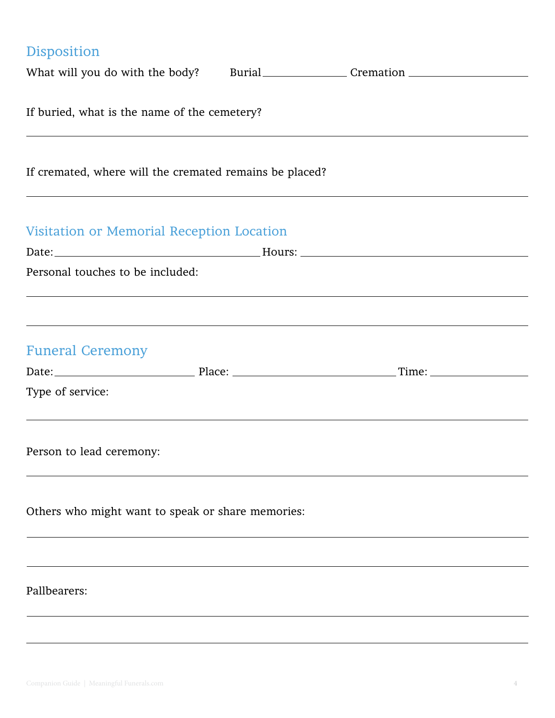| Disposition                                             |        |           |
|---------------------------------------------------------|--------|-----------|
| What will you do with the body?                         | Burial | Cremation |
| If buried, what is the name of the cemetery?            |        |           |
| If cremated, where will the cremated remains be placed? |        |           |
| Vigitation on Mamorial Deception Location               |        |           |

| Visitation or Memorial Reception Location |                                                                                   |  |  |  |
|-------------------------------------------|-----------------------------------------------------------------------------------|--|--|--|
|                                           |                                                                                   |  |  |  |
| Personal touches to be included:          |                                                                                   |  |  |  |
|                                           |                                                                                   |  |  |  |
|                                           |                                                                                   |  |  |  |
| <b>Funeral Ceremony</b>                   |                                                                                   |  |  |  |
|                                           |                                                                                   |  |  |  |
| Type of service:                          |                                                                                   |  |  |  |
|                                           |                                                                                   |  |  |  |
|                                           |                                                                                   |  |  |  |
| Person to lead ceremony:                  |                                                                                   |  |  |  |
|                                           | ,我们也不能在这里的时候,我们也不能在这里的时候,我们也不能会在这里的时候,我们也不能会在这里的时候,我们也不能会在这里的时候,我们也不能会在这里的时候,我们也不 |  |  |  |
|                                           | Others who might want to speak or share memories:                                 |  |  |  |
|                                           |                                                                                   |  |  |  |
|                                           | ,我们也不会有什么。""我们的人,我们也不会有什么?""我们的人,我们也不会有什么?""我们的人,我们也不会有什么?""我们的人,我们也不会有什么?""我们的人  |  |  |  |
|                                           |                                                                                   |  |  |  |
| Pallbearers:                              |                                                                                   |  |  |  |